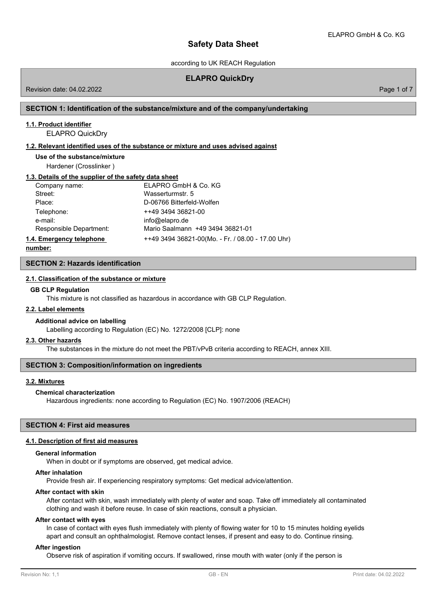according to UK REACH Regulation

## **ELAPRO QuickDry**

Revision date: 04.02.2022 Page 1 of 7

## **SECTION 1: Identification of the substance/mixture and of the company/undertaking**

#### **1.1. Product identifier**

ELAPRO QuickDry

#### **1.2. Relevant identified uses of the substance or mixture and uses advised against**

**Use of the substance/mixture**

Hardener (Crosslinker )

## **1.3. Details of the supplier of the safety data sheet**

| Company name:            | ELAPRO GmbH & Co. KG                              |
|--------------------------|---------------------------------------------------|
| Street:                  | Wasserturmstr. 5                                  |
| Place:                   | D-06766 Bitterfeld-Wolfen                         |
| Telephone:               | ++49 3494 36821-00                                |
| e-mail:                  | info@elapro.de                                    |
| Responsible Department:  | Mario Saalmann +49 3494 36821-01                  |
| 1.4. Emergency telephone | ++49 3494 36821-00(Mo. - Fr. / 08.00 - 17.00 Uhr) |

**number:**

**SECTION 2: Hazards identification**

#### **2.1. Classification of the substance or mixture**

#### **GB CLP Regulation**

This mixture is not classified as hazardous in accordance with GB CLP Regulation.

#### **2.2. Label elements**

#### **Additional advice on labelling**

Labelling according to Regulation (EC) No. 1272/2008 [CLP]: none

#### **2.3. Other hazards**

The substances in the mixture do not meet the PBT/vPvB criteria according to REACH, annex XIII.

## **SECTION 3: Composition/information on ingredients**

#### **3.2. Mixtures**

#### **Chemical characterization**

Hazardous ingredients: none according to Regulation (EC) No. 1907/2006 (REACH)

#### **SECTION 4: First aid measures**

#### **4.1. Description of first aid measures**

#### **General information**

When in doubt or if symptoms are observed, get medical advice.

#### **After inhalation**

Provide fresh air. If experiencing respiratory symptoms: Get medical advice/attention.

#### **After contact with skin**

After contact with skin, wash immediately with plenty of water and soap. Take off immediately all contaminated clothing and wash it before reuse. In case of skin reactions, consult a physician.

#### **After contact with eyes**

In case of contact with eyes flush immediately with plenty of flowing water for 10 to 15 minutes holding eyelids apart and consult an ophthalmologist. Remove contact lenses, if present and easy to do. Continue rinsing.

## **After ingestion**

Observe risk of aspiration if vomiting occurs. If swallowed, rinse mouth with water (only if the person is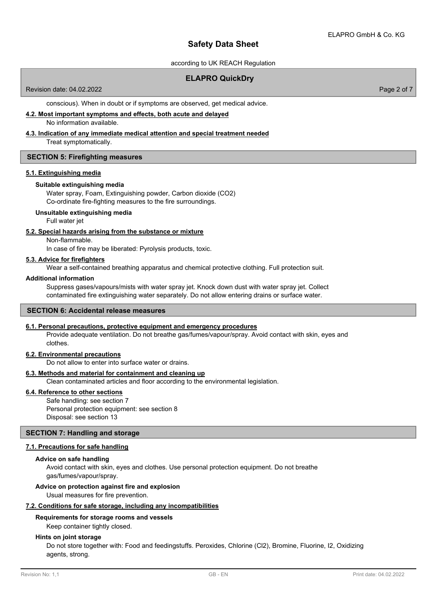according to UK REACH Regulation

## **ELAPRO QuickDry**

Revision date: 04.02.2022

Page 2 of 7

conscious). When in doubt or if symptoms are observed, get medical advice.

#### **4.2. Most important symptoms and effects, both acute and delayed** No information available.

# **4.3. Indication of any immediate medical attention and special treatment needed**

Treat symptomatically.

## **SECTION 5: Firefighting measures**

### **5.1. Extinguishing media**

## **Suitable extinguishing media**

Water spray, Foam, Extinguishing powder, Carbon dioxide (CO2) Co-ordinate fire-fighting measures to the fire surroundings.

### **Unsuitable extinguishing media**

Full water jet

### **5.2. Special hazards arising from the substance or mixture**

Non-flammable.

In case of fire may be liberated: Pyrolysis products, toxic.

## **5.3. Advice for firefighters**

Wear a self-contained breathing apparatus and chemical protective clothing. Full protection suit.

## **Additional information**

Suppress gases/vapours/mists with water spray jet. Knock down dust with water spray jet. Collect contaminated fire extinguishing water separately. Do not allow entering drains or surface water.

## **SECTION 6: Accidental release measures**

#### **6.1. Personal precautions, protective equipment and emergency procedures**

Provide adequate ventilation. Do not breathe gas/fumes/vapour/spray. Avoid contact with skin, eyes and clothes.

#### **6.2. Environmental precautions**

Do not allow to enter into surface water or drains.

#### **6.3. Methods and material for containment and cleaning up**

Clean contaminated articles and floor according to the environmental legislation.

## **6.4. Reference to other sections**

Safe handling: see section 7 Personal protection equipment: see section 8 Disposal: see section 13

## **SECTION 7: Handling and storage**

## **7.1. Precautions for safe handling**

#### **Advice on safe handling**

Avoid contact with skin, eyes and clothes. Use personal protection equipment. Do not breathe gas/fumes/vapour/spray.

#### **Advice on protection against fire and explosion**

Usual measures for fire prevention.

#### **7.2. Conditions for safe storage, including any incompatibilities**

## **Requirements for storage rooms and vessels**

Keep container tightly closed.

#### **Hints on joint storage**

Do not store together with: Food and feedingstuffs. Peroxides, Chlorine (Cl2), Bromine, Fluorine, I2, Oxidizing agents, strong.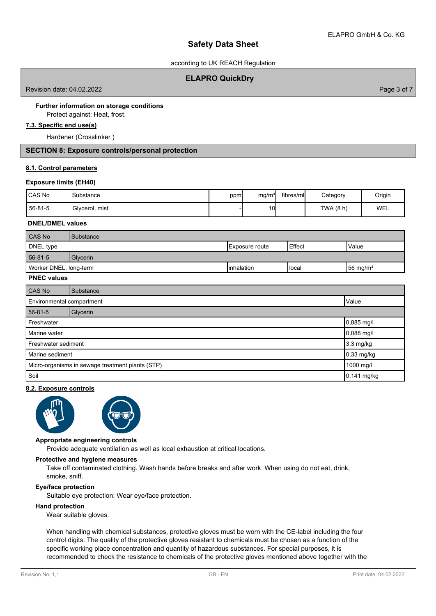according to UK REACH Regulation

## **ELAPRO QuickDry**

Revision date: 04.02.2022

Page 3 of 7

# **Further information on storage conditions**

Protect against: Heat, frost.

# **7.3. Specific end use(s)**

Hardener (Crosslinker )

## **SECTION 8: Exposure controls/personal protection**

### **8.1. Control parameters**

### **Exposure limits (EH40)**

| CAS No  | Substance      | ppm | mg/m <sup>3</sup> | fibres/mll | Category | Origin |
|---------|----------------|-----|-------------------|------------|----------|--------|
| 56-81-5 | Glycerol, mist |     | 10I               |            | TWA (8 h | WEL    |

### **DNEL/DMEL values**

| CAS No                       | Substance |             |                |                      |
|------------------------------|-----------|-------------|----------------|----------------------|
| DNEL type<br>IExposure route |           |             | l Effect       | Value                |
| 56-81-5                      | Glycerin  |             |                |                      |
| Worker DNEL, long-term       |           | Iinhalation | <b>I</b> local | $156 \text{ mg/m}^3$ |

## **PNEC values**

| CAS No                                           | Substance |             |
|--------------------------------------------------|-----------|-------------|
| Environmental compartment<br>Value               |           |             |
| $56 - 81 - 5$                                    | Glycerin  |             |
| Freshwater                                       |           | 0,885 mg/l  |
| Marine water                                     |           | 0,088 mg/l  |
| Freshwater sediment                              |           | $3,3$ mg/kg |
| Marine sediment                                  |           | 0,33 mg/kg  |
| Micro-organisms in sewage treatment plants (STP) |           | 1000 mg/l   |
| Soil                                             |           | 0,141 mg/kg |

## **8.2. Exposure controls**





#### **Appropriate engineering controls**

Provide adequate ventilation as well as local exhaustion at critical locations.

#### **Protective and hygiene measures**

Take off contaminated clothing. Wash hands before breaks and after work. When using do not eat, drink, smoke, sniff.

## **Eye/face protection**

Suitable eye protection: Wear eye/face protection.

#### **Hand protection**

Wear suitable gloves.

When handling with chemical substances, protective gloves must be worn with the CE-label including the four control digits. The quality of the protective gloves resistant to chemicals must be chosen as a function of the specific working place concentration and quantity of hazardous substances. For special purposes, it is recommended to check the resistance to chemicals of the protective gloves mentioned above together with the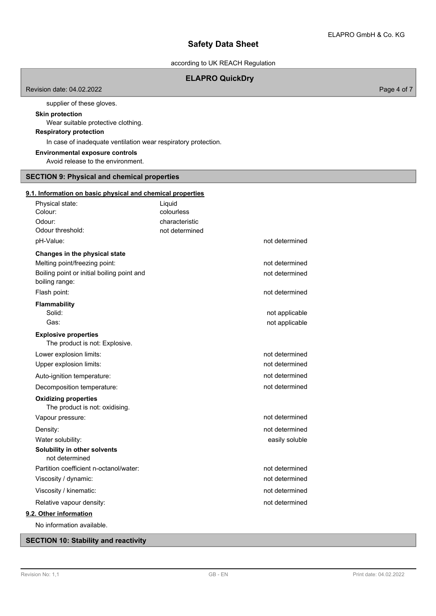according to UK REACH Regulation

## **ELAPRO QuickDry**

Revision date: 04.02.2022

supplier of these gloves.

# **Skin protection**

Wear suitable protective clothing.

# **Respiratory protection**

In case of inadequate ventilation wear respiratory protection.

**Environmental exposure controls**

Avoid release to the environment.

#### **SECTION 9: Physical and chemical properties**

## **9.1. Information on basic physical and chemical properties**

| Physical state:<br>Colour:<br>Odour:                           | Liquid<br>colourless<br>characteristic |                |
|----------------------------------------------------------------|----------------------------------------|----------------|
| Odour threshold:                                               | not determined                         |                |
| pH-Value:                                                      |                                        | not determined |
| Changes in the physical state<br>Melting point/freezing point: |                                        | not determined |
| Boiling point or initial boiling point and<br>boiling range:   |                                        | not determined |
| Flash point:                                                   |                                        | not determined |
| Flammability                                                   |                                        |                |
| Solid:<br>Gas:                                                 |                                        | not applicable |
|                                                                |                                        | not applicable |
| <b>Explosive properties</b><br>The product is not: Explosive.  |                                        |                |
| Lower explosion limits:                                        |                                        | not determined |
| Upper explosion limits:                                        |                                        | not determined |
| Auto-ignition temperature:                                     |                                        | not determined |
| Decomposition temperature:                                     |                                        | not determined |
| <b>Oxidizing properties</b><br>The product is not: oxidising.  |                                        |                |
| Vapour pressure:                                               |                                        | not determined |
| Density:                                                       |                                        | not determined |
| Water solubility:                                              |                                        | easily soluble |
| Solubility in other solvents<br>not determined                 |                                        |                |
| Partition coefficient n-octanol/water:                         |                                        | not determined |
| Viscosity / dynamic:                                           |                                        | not determined |
| Viscosity / kinematic:                                         |                                        | not determined |
| Relative vapour density:                                       |                                        | not determined |
| 9.2. Other information                                         |                                        |                |

No information available.

# **SECTION 10: Stability and reactivity**

Page 4 of 7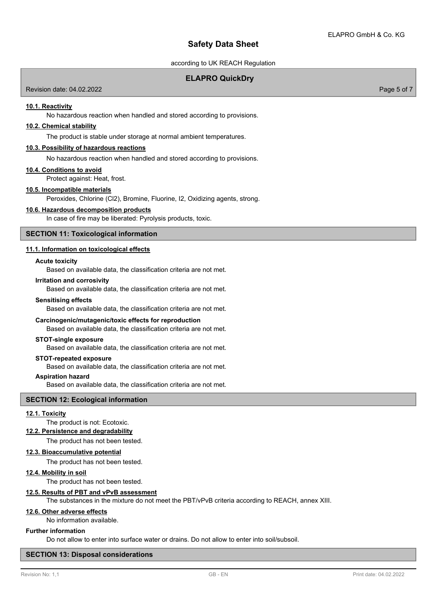according to UK REACH Regulation

## **ELAPRO QuickDry**

Revision date: 04.02.2022

**10.1. Reactivity**

No hazardous reaction when handled and stored according to provisions.

## **10.2. Chemical stability**

The product is stable under storage at normal ambient temperatures.

#### **10.3. Possibility of hazardous reactions**

No hazardous reaction when handled and stored according to provisions.

#### **10.4. Conditions to avoid**

Protect against: Heat, frost.

#### **10.5. Incompatible materials**

Peroxides, Chlorine (Cl2), Bromine, Fluorine, I2, Oxidizing agents, strong.

#### **10.6. Hazardous decomposition products**

In case of fire may be liberated: Pyrolysis products, toxic.

## **SECTION 11: Toxicological information**

## **11.1. Information on toxicological effects**

#### **Acute toxicity**

Based on available data, the classification criteria are not met.

#### **Irritation and corrosivity**

Based on available data, the classification criteria are not met.

#### **Sensitising effects**

Based on available data, the classification criteria are not met.

#### **Carcinogenic/mutagenic/toxic effects for reproduction**

Based on available data, the classification criteria are not met.

#### **STOT-single exposure**

Based on available data, the classification criteria are not met.

#### **STOT-repeated exposure**

Based on available data, the classification criteria are not met.

#### **Aspiration hazard**

Based on available data, the classification criteria are not met.

### **SECTION 12: Ecological information**

## **12.1. Toxicity**

# The product is not: Ecotoxic.

**12.2. Persistence and degradability**

The product has not been tested.

#### **12.3. Bioaccumulative potential**

The product has not been tested.

#### **12.4. Mobility in soil**

The product has not been tested.

## **12.5. Results of PBT and vPvB assessment**

The substances in the mixture do not meet the PBT/vPvB criteria according to REACH, annex XIII.

## **12.6. Other adverse effects**

No information available.

## **Further information**

Do not allow to enter into surface water or drains. Do not allow to enter into soil/subsoil.

#### **SECTION 13: Disposal considerations**

#### Page 5 of 7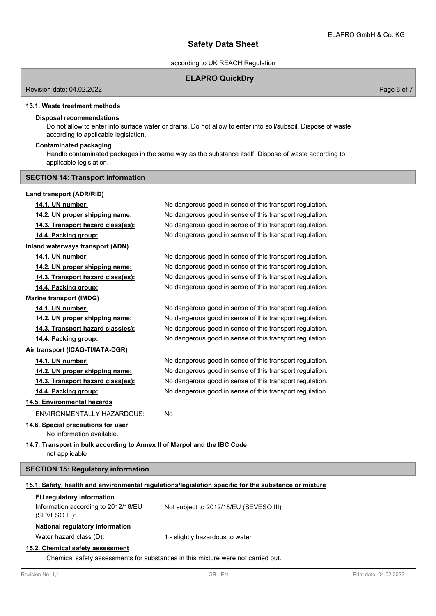according to UK REACH Regulation

## **ELAPRO QuickDry**

Revision date: 04.02.2022

Page 6 of 7

# **13.1. Waste treatment methods**

## **Disposal recommendations**

Do not allow to enter into surface water or drains. Do not allow to enter into soil/subsoil. Dispose of waste according to applicable legislation.

## **Contaminated packaging**

Handle contaminated packages in the same way as the substance itself. Dispose of waste according to applicable legislation.

## **SECTION 14: Transport information**

## **Land transport (ADR/RID)**

| Revision No: 1.1                                                         | $GB - EN$                                                                                            | Print date: 04.02.2022 |
|--------------------------------------------------------------------------|------------------------------------------------------------------------------------------------------|------------------------|
|                                                                          | Chemical safety assessments for substances in this mixture were not carried out.                     |                        |
| 15.2. Chemical safety assessment                                         |                                                                                                      |                        |
| Water hazard class (D):                                                  | 1 - slightly hazardous to water                                                                      |                        |
| National regulatory information                                          |                                                                                                      |                        |
| Information according to 2012/18/EU<br>(SEVESO III):                     | Not subject to 2012/18/EU (SEVESO III)                                                               |                        |
| EU regulatory information                                                | 15.1. Safety, health and environmental regulations/legislation specific for the substance or mixture |                        |
| <b>SECTION 15: Regulatory information</b>                                |                                                                                                      |                        |
| not applicable                                                           |                                                                                                      |                        |
| 14.7. Transport in bulk according to Annex II of Marpol and the IBC Code |                                                                                                      |                        |
| No information available.                                                |                                                                                                      |                        |
| 14.6. Special precautions for user                                       |                                                                                                      |                        |
| <b>ENVIRONMENTALLY HAZARDOUS:</b>                                        | No                                                                                                   |                        |
| 14.5. Environmental hazards                                              |                                                                                                      |                        |
| 14.4. Packing group:                                                     | No dangerous good in sense of this transport regulation.                                             |                        |
| 14.3. Transport hazard class(es):                                        | No dangerous good in sense of this transport regulation.                                             |                        |
| 14.2. UN proper shipping name:                                           | No dangerous good in sense of this transport regulation.                                             |                        |
| 14.1. UN number:                                                         | No dangerous good in sense of this transport regulation.                                             |                        |
| Air transport (ICAO-TI/IATA-DGR)                                         |                                                                                                      |                        |
| 14.4. Packing group:                                                     | No dangerous good in sense of this transport regulation.                                             |                        |
| 14.3. Transport hazard class(es):                                        | No dangerous good in sense of this transport regulation.                                             |                        |
| 14.2. UN proper shipping name:                                           | No dangerous good in sense of this transport regulation.                                             |                        |
| 14.1. UN number:                                                         | No dangerous good in sense of this transport regulation.                                             |                        |
| <b>Marine transport (IMDG)</b>                                           |                                                                                                      |                        |
| 14.4. Packing group:                                                     | No dangerous good in sense of this transport regulation.                                             |                        |
| 14.3. Transport hazard class(es):                                        | No dangerous good in sense of this transport regulation.                                             |                        |
| 14.2. UN proper shipping name:                                           | No dangerous good in sense of this transport regulation.                                             |                        |
| 14.1. UN number:                                                         | No dangerous good in sense of this transport regulation.                                             |                        |
| Inland waterways transport (ADN)                                         |                                                                                                      |                        |
| 14.4. Packing group:                                                     | No dangerous good in sense of this transport regulation.                                             |                        |
| 14.2. UN proper shipping name:<br>14.3. Transport hazard class(es):      | No dangerous good in sense of this transport regulation.                                             |                        |
|                                                                          | No dangerous good in sense of this transport regulation.                                             |                        |
| 14.1. UN number:                                                         | No dangerous good in sense of this transport regulation.                                             |                        |